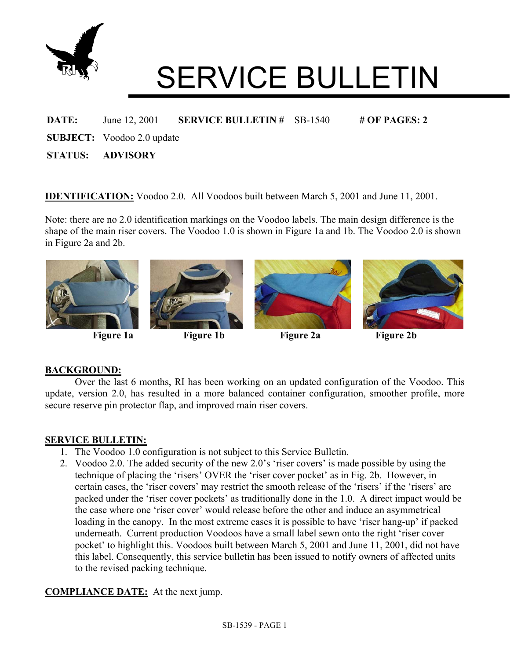

# SERVICE BULLETIN

#### **DATE:** June 12, 2001 **SERVICE BULLETIN #** SB-1540 **# OF PAGES: 2**

**SUBJECT:** Voodoo 2.0 update

**STATUS: ADVISORY** 

**IDENTIFICATION:** Voodoo 2.0. All Voodoos built between March 5, 2001 and June 11, 2001.

Note: there are no 2.0 identification markings on the Voodoo labels. The main design difference is the shape of the main riser covers. The Voodoo 1.0 is shown in Figure 1a and 1b. The Voodoo 2.0 is shown in Figure 2a and 2b.



# **BACKGROUND:**

Over the last 6 months, RI has been working on an updated configuration of the Voodoo. This update, version 2.0, has resulted in a more balanced container configuration, smoother profile, more secure reserve pin protector flap, and improved main riser covers.

#### **SERVICE BULLETIN:**

- 1. The Voodoo 1.0 configuration is not subject to this Service Bulletin.
- 2. Voodoo 2.0. The added security of the new 2.0's 'riser covers' is made possible by using the technique of placing the 'risers' OVER the 'riser cover pocket' as in Fig. 2b. However, in certain cases, the 'riser covers' may restrict the smooth release of the 'risers' if the 'risers' are packed under the 'riser cover pockets' as traditionally done in the 1.0. A direct impact would be the case where one 'riser cover' would release before the other and induce an asymmetrical loading in the canopy. In the most extreme cases it is possible to have 'riser hang-up' if packed underneath. Current production Voodoos have a small label sewn onto the right 'riser cover pocket' to highlight this. Voodoos built between March 5, 2001 and June 11, 2001, did not have this label. Consequently, this service bulletin has been issued to notify owners of affected units to the revised packing technique.

# **COMPLIANCE DATE:** At the next jump.